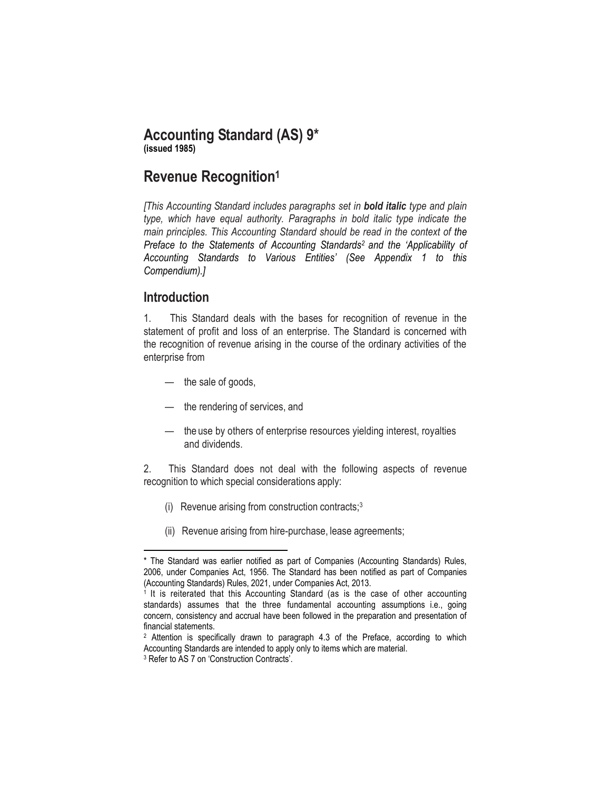# **Accounting Standard (AS) 9\***

**(issued 1985)**

# **Revenue Recognition<sup>1</sup>**

*[This Accounting Standard includes paragraphs set in bold italic type and plain type, which have equal authority. Paragraphs in bold italic type indicate the main principles. This Accounting Standard should be read in the context of the Preface to the Statements of Accounting Standards<sup>2</sup> and the 'Applicability of Accounting Standards to Various Entities' (See Appendix 1 to this Compendium).]* 

## **Introduction**

 $\overline{\phantom{a}}$ 

1. This Standard deals with the bases for recognition of revenue in the statement of profit and loss of an enterprise. The Standard is concerned with the recognition of revenue arising in the course of the ordinary activities of the enterprise from

- the sale of goods,
- the rendering of services, and
- the use by others of enterprise resources yielding interest, royalties and dividends.

2. This Standard does not deal with the following aspects of revenue recognition to which special considerations apply:

- (i) Revenue arising from construction contracts;<sup>3</sup>
- (ii) Revenue arising from hire-purchase, lease agreements;

<sup>\*</sup> The Standard was earlier notified as part of Companies (Accounting Standards) Rules, 2006, under Companies Act, 1956. The Standard has been notified as part of Companies (Accounting Standards) Rules, 2021, under Companies Act, 2013.

<sup>&</sup>lt;sup>1</sup> It is reiterated that this Accounting Standard (as is the case of other accounting standards) assumes that the three fundamental accounting assumptions i.e., going concern, consistency and accrual have been followed in the preparation and presentation of financial statements.

<sup>2</sup> Attention is specifically drawn to paragraph 4.3 of the Preface, according to which Accounting Standards are intended to apply only to items which are material.

<sup>3</sup> Refer to AS 7 on 'Construction Contracts'.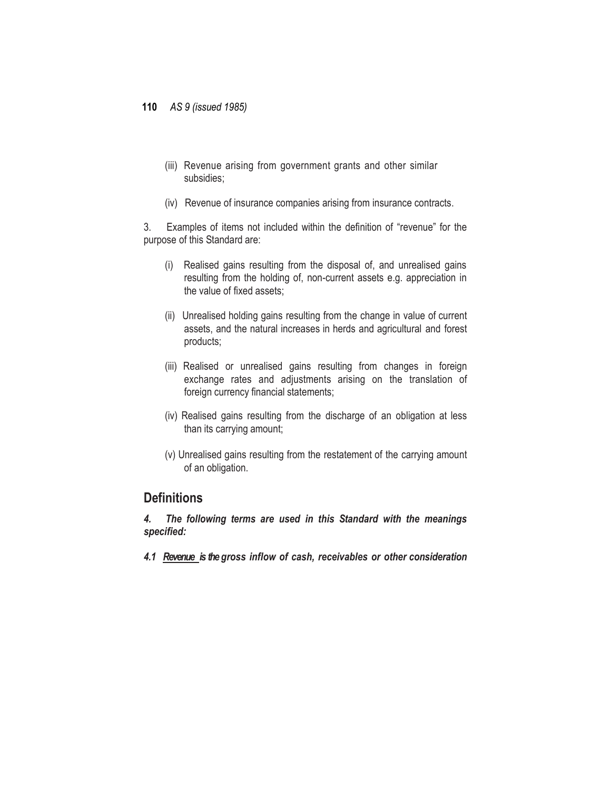- (iii) Revenue arising from government grants and other similar subsidies;
- (iv) Revenue of insurance companies arising from insurance contracts.

3. Examples of items not included within the definition of "revenue" for the purpose of this Standard are:

- (i) Realised gains resulting from the disposal of, and unrealised gains resulting from the holding of, non-current assets e.g. appreciation in the value of fixed assets;
- (ii) Unrealised holding gains resulting from the change in value of current assets, and the natural increases in herds and agricultural and forest products;
- (iii) Realised or unrealised gains resulting from changes in foreign exchange rates and adjustments arising on the translation of foreign currency financial statements;
- (iv) Realised gains resulting from the discharge of an obligation at less than its carrying amount;
- (v) Unrealised gains resulting from the restatement of the carrying amount of an obligation.

### **Definitions**

*4. The following terms are used in this Standard with the meanings specified:*

*4.1 Revenue is the gross inflow of cash, receivables or other consideration*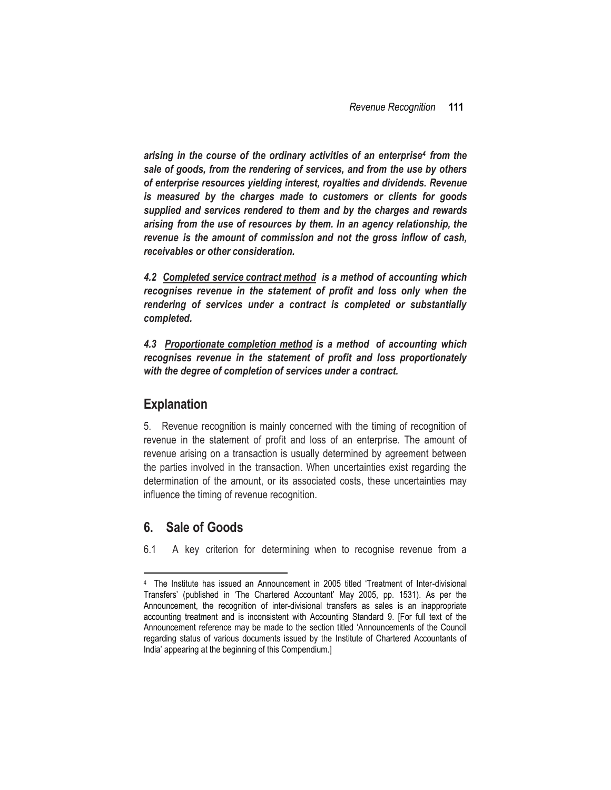*arising in the course of the ordinary activities of an enterprise<sup>4</sup> from the sale of goods, from the rendering of services, and from the use by others of enterprise resources yielding interest, royalties and dividends. Revenue is measured by the charges made to customers or clients for goods supplied and services rendered to them and by the charges and rewards arising from the use of resources by them. In an agency relationship, the revenue is the amount of commission and not the gross inflow of cash, receivables or other consideration.*

*4.2 Completed service contract method is a method of accounting which recognises revenue in the statement of profit and loss only when the rendering of services under a contract is completed or substantially completed.*

*4.3 Proportionate completion method is a method of accounting which recognises revenue in the statement of profit and loss proportionately with the degree of completion of services under a contract.*

### **Explanation**

5. Revenue recognition is mainly concerned with the timing of recognition of revenue in the statement of profit and loss of an enterprise. The amount of revenue arising on a transaction is usually determined by agreement between the parties involved in the transaction. When uncertainties exist regarding the determination of the amount, or its associated costs, these uncertainties may influence the timing of revenue recognition.

## **6. Sale of Goods**

 $\overline{\phantom{a}}$ 

6.1 A key criterion for determining when to recognise revenue from a

<sup>4</sup> The Institute has issued an Announcement in 2005 titled 'Treatment of Inter-divisional Transfers' (published in 'The Chartered Accountant' May 2005, pp. 1531). As per the Announcement, the recognition of inter-divisional transfers as sales is an inappropriate accounting treatment and is inconsistent with Accounting Standard 9. [For full text of the Announcement reference may be made to the section titled 'Announcements of the Council regarding status of various documents issued by the Institute of Chartered Accountants of India' appearing at the beginning of this Compendium.]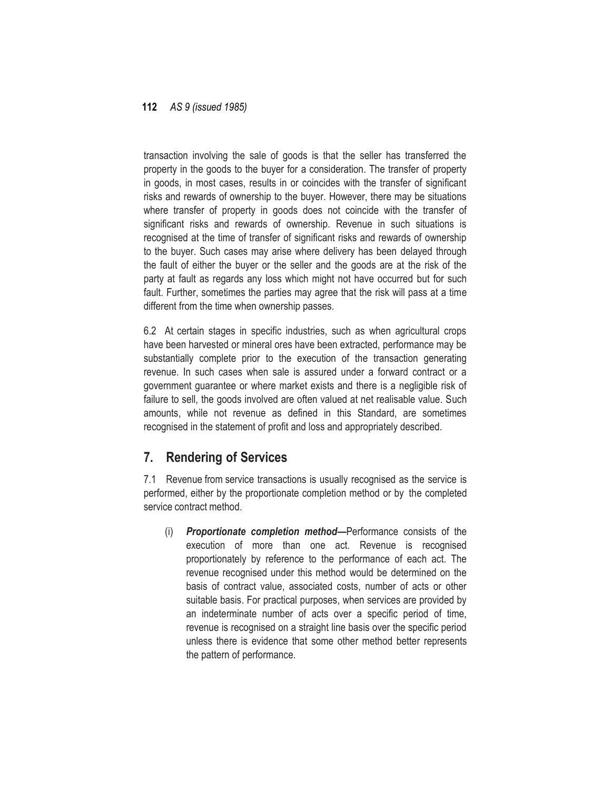transaction involving the sale of goods is that the seller has transferred the property in the goods to the buyer for a consideration. The transfer of property in goods, in most cases, results in or coincides with the transfer of significant risks and rewards of ownership to the buyer. However, there may be situations where transfer of property in goods does not coincide with the transfer of significant risks and rewards of ownership. Revenue in such situations is recognised at the time of transfer of significant risks and rewards of ownership to the buyer. Such cases may arise where delivery has been delayed through the fault of either the buyer or the seller and the goods are at the risk of the party at fault as regards any loss which might not have occurred but for such fault. Further, sometimes the parties may agree that the risk will pass at a time different from the time when ownership passes.

6.2 At certain stages in specific industries, such as when agricultural crops have been harvested or mineral ores have been extracted, performance may be substantially complete prior to the execution of the transaction generating revenue. In such cases when sale is assured under a forward contract or a government guarantee or where market exists and there is a negligible risk of failure to sell, the goods involved are often valued at net realisable value. Such amounts, while not revenue as defined in this Standard, are sometimes recognised in the statement of profit and loss and appropriately described.

## **7. Rendering of Services**

7.1 Revenue from service transactions is usually recognised as the service is performed, either by the proportionate completion method or by the completed service contract method.

(i) *Proportionate completion method—*Performance consists of the execution of more than one act. Revenue is recognised proportionately by reference to the performance of each act. The revenue recognised under this method would be determined on the basis of contract value, associated costs, number of acts or other suitable basis. For practical purposes, when services are provided by an indeterminate number of acts over a specific period of time, revenue is recognised on a straight line basis over the specific period unless there is evidence that some other method better represents the pattern of performance.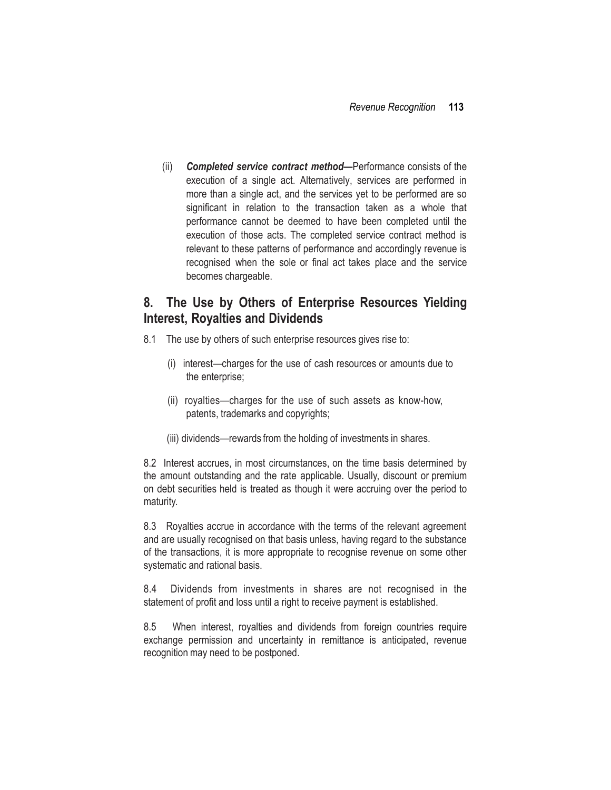(ii) *Completed service contract method***—**Performance consists of the execution of a single act. Alternatively, services are performed in more than a single act, and the services yet to be performed are so significant in relation to the transaction taken as a whole that performance cannot be deemed to have been completed until the execution of those acts. The completed service contract method is relevant to these patterns of performance and accordingly revenue is recognised when the sole or final act takes place and the service becomes chargeable.

## **8. The Use by Others of Enterprise Resources Yielding Interest, Royalties and Dividends**

- 8.1 The use by others of such enterprise resources gives rise to:
	- (i) interest—charges for the use of cash resources or amounts due to the enterprise;
	- (ii) royalties—charges for the use of such assets as know-how, patents, trademarks and copyrights;
	- (iii) dividends—rewards from the holding of investments in shares.

8.2 Interest accrues, in most circumstances, on the time basis determined by the amount outstanding and the rate applicable. Usually, discount or premium on debt securities held is treated as though it were accruing over the period to maturity.

8.3 Royalties accrue in accordance with the terms of the relevant agreement and are usually recognised on that basis unless, having regard to the substance of the transactions, it is more appropriate to recognise revenue on some other systematic and rational basis.

8.4 Dividends from investments in shares are not recognised in the statement of profit and loss until a right to receive payment is established.

8.5 When interest, royalties and dividends from foreign countries require exchange permission and uncertainty in remittance is anticipated, revenue recognition may need to be postponed.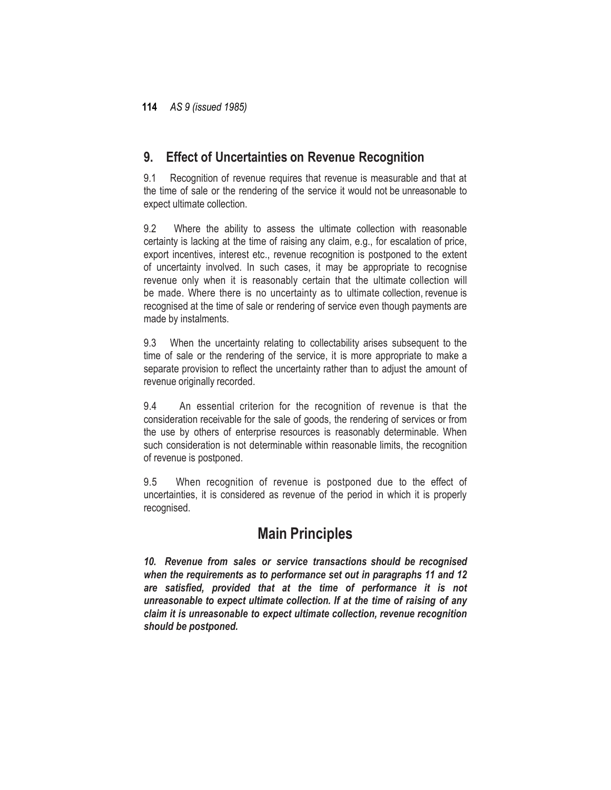# **9. Effect of Uncertainties on Revenue Recognition**

9.1 Recognition of revenue requires that revenue is measurable and that at the time of sale or the rendering of the service it would not be unreasonable to expect ultimate collection.

9.2 Where the ability to assess the ultimate collection with reasonable certainty is lacking at the time of raising any claim, e.g., for escalation of price, export incentives, interest etc., revenue recognition is postponed to the extent of uncertainty involved. In such cases, it may be appropriate to recognise revenue only when it is reasonably certain that the ultimate collection will be made. Where there is no uncertainty as to ultimate collection, revenue is recognised at the time of sale or rendering of service even though payments are made by instalments.

9.3 When the uncertainty relating to collectability arises subsequent to the time of sale or the rendering of the service, it is more appropriate to make a separate provision to reflect the uncertainty rather than to adjust the amount of revenue originally recorded.

9.4 An essential criterion for the recognition of revenue is that the consideration receivable for the sale of goods, the rendering of services or from the use by others of enterprise resources is reasonably determinable. When such consideration is not determinable within reasonable limits, the recognition of revenue is postponed.

9.5 When recognition of revenue is postponed due to the effect of uncertainties, it is considered as revenue of the period in which it is properly recognised.

# **Main Principles**

*10. Revenue from sales or service transactions should be recognised when the requirements as to performance set out in paragraphs 11 and 12 are satisfied, provided that at the time of performance it is not unreasonable to expect ultimate collection. If at the time of raising of any claim it is unreasonable to expect ultimate collection, revenue recognition should be postponed.*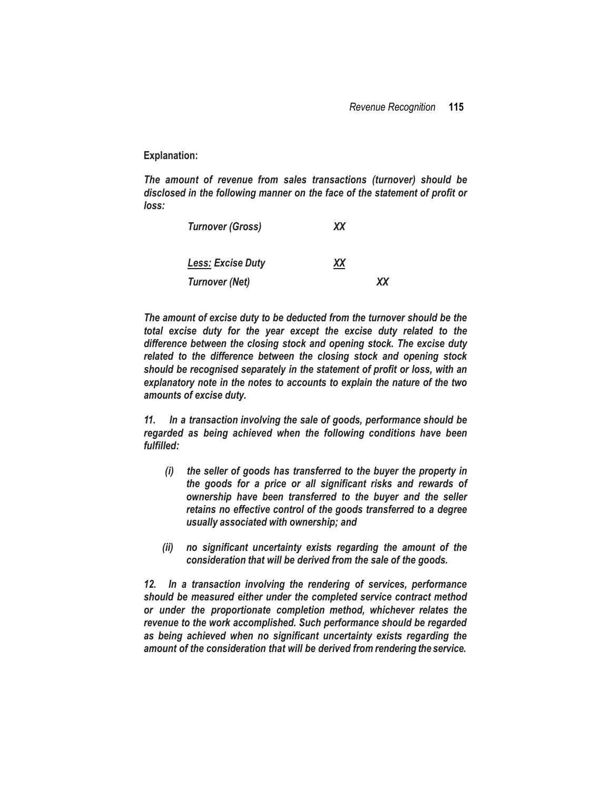**Explanation:**

*The amount of revenue from sales transactions (turnover) should be disclosed in the following manner on the face of the statement of profit or loss:*

| <b>Turnover (Gross)</b> | XX |    |
|-------------------------|----|----|
| Less: Excise Duty       | XX |    |
| <b>Turnover (Net)</b>   |    | ХX |

*The amount of excise duty to be deducted from the turnover should be the total excise duty for the year except the excise duty related to the difference between the closing stock and opening stock. The excise duty related to the difference between the closing stock and opening stock should be recognised separately in the statement of profit or loss, with an explanatory note in the notes to accounts to explain the nature of the two amounts of excise duty.*

*11. In a transaction involving the sale of goods, performance should be regarded as being achieved when the following conditions have been fulfilled:*

- *(i) the seller of goods has transferred to the buyer the property in the goods for a price or all significant risks and rewards of ownership have been transferred to the buyer and the seller retains no effective control of the goods transferred to a degree usually associated with ownership; and*
- *(ii) no significant uncertainty exists regarding the amount of the consideration that will be derived from the sale of the goods.*

*12. In a transaction involving the rendering of services, performance should be measured either under the completed service contract method or under the proportionate completion method, whichever relates the revenue to the work accomplished. Such performance should be regarded as being achieved when no significant uncertainty exists regarding the amount of the consideration that will be derived from rendering the service.*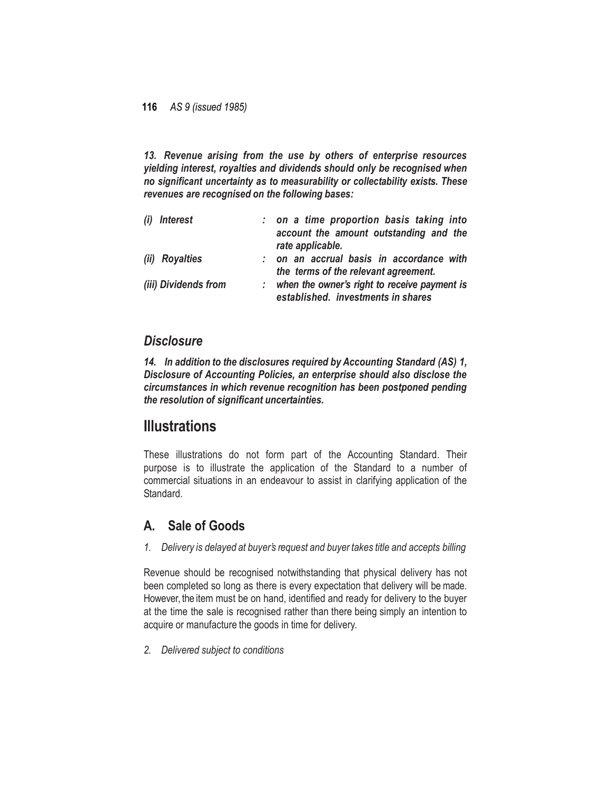*13. Revenue arising from the use by others of enterprise resources yielding interest, royalties and dividends should only be recognised when no significant uncertainty as to measurability or collectability exists. These revenues are recognised on the following bases:*

| (i) Interest         | : on a time proportion basis taking into                                           |
|----------------------|------------------------------------------------------------------------------------|
|                      | account the amount outstanding and the<br>rate applicable.                         |
| (ii) Royalties       | on an accrual basis in accordance with                                             |
|                      | the terms of the relevant agreement.                                               |
| (iii) Dividends from | when the owner's right to receive payment is<br>established. investments in shares |

## *Disclosure*

*14. In addition to the disclosures required by Accounting Standard (AS) 1, Disclosure of Accounting Policies, an enterprise should also disclose the circumstances in which revenue recognition has been postponed pending the resolution of significant uncertainties.*

# **Illustrations**

These illustrations do not form part of the Accounting Standard. Their purpose is to illustrate the application of the Standard to a number of commercial situations in an endeavour to assist in clarifying application of the Standard.

# **A. Sale of Goods**

*1. Delivery is delayed at buyer's request and buyer takes title and accepts billing*

Revenue should be recognised notwithstanding that physical delivery has not been completed so long as there is every expectation that delivery will be made. However, the item must be on hand, identified and ready for delivery to the buyer at the time the sale is recognised rather than there being simply an intention to acquire or manufacture the goods in time for delivery.

*2. Delivered subject to conditions*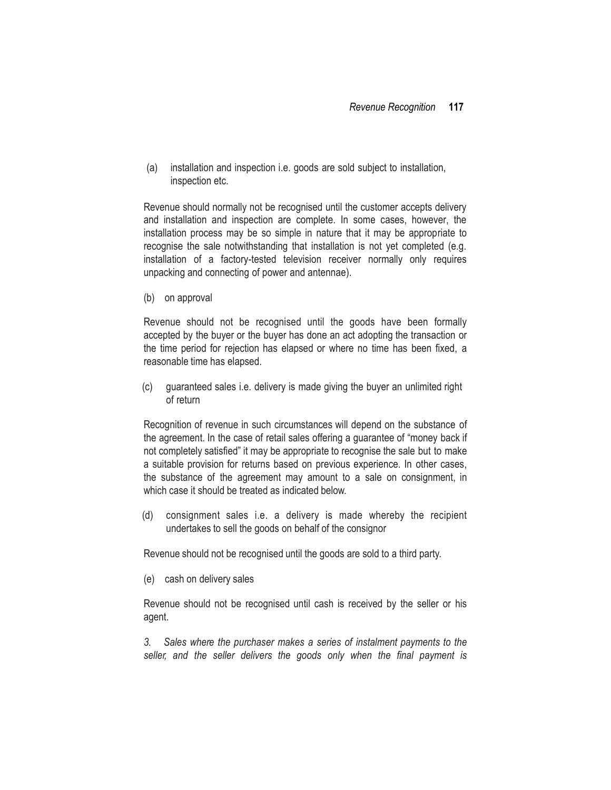(a) installation and inspection i.e. goods are sold subject to installation, inspection etc.

Revenue should normally not be recognised until the customer accepts delivery and installation and inspection are complete. In some cases, however, the installation process may be so simple in nature that it may be appropriate to recognise the sale notwithstanding that installation is not yet completed (e.g. installation of a factory-tested television receiver normally only requires unpacking and connecting of power and antennae).

(b) on approval

Revenue should not be recognised until the goods have been formally accepted by the buyer or the buyer has done an act adopting the transaction or the time period for rejection has elapsed or where no time has been fixed, a reasonable time has elapsed.

(c) guaranteed sales i.e. delivery is made giving the buyer an unlimited right of return

Recognition of revenue in such circumstances will depend on the substance of the agreement. In the case of retail sales offering a guarantee of "money back if not completely satisfied" it may be appropriate to recognise the sale but to make a suitable provision for returns based on previous experience. In other cases, the substance of the agreement may amount to a sale on consignment, in which case it should be treated as indicated below

(d) consignment sales i.e. a delivery is made whereby the recipient undertakes to sell the goods on behalf of the consignor

Revenue should not be recognised until the goods are sold to a third party.

(e) cash on delivery sales

Revenue should not be recognised until cash is received by the seller or his agent.

*3. Sales where the purchaser makes a series of instalment payments to the seller, and the seller delivers the goods only when the final payment is*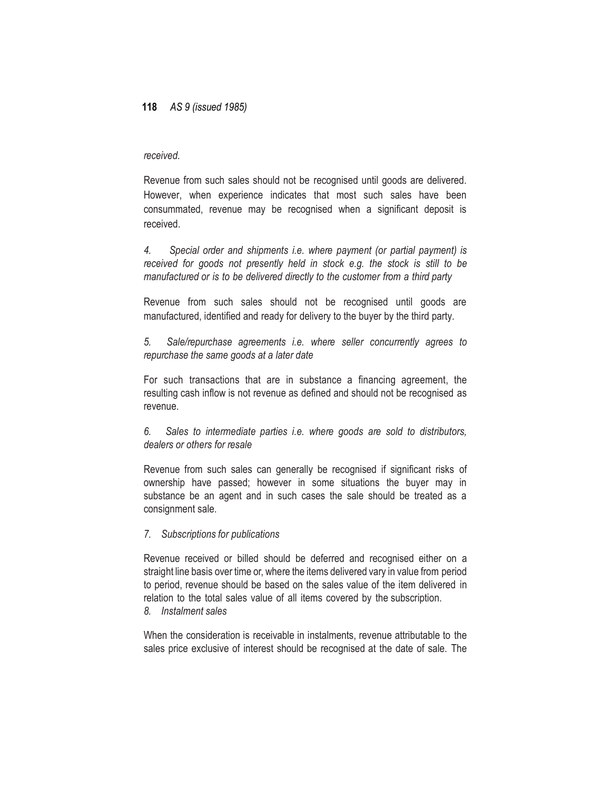#### *received.*

Revenue from such sales should not be recognised until goods are delivered. However, when experience indicates that most such sales have been consummated, revenue may be recognised when a significant deposit is received.

*4. Special order and shipments i.e. where payment (or partial payment) is received for goods not presently held in stock e.g. the stock is still to be manufactured or is to be delivered directly to the customer from a third party*

Revenue from such sales should not be recognised until goods are manufactured, identified and ready for delivery to the buyer by the third party.

*5. Sale/repurchase agreements i.e. where seller concurrently agrees to repurchase the same goods at a later date*

For such transactions that are in substance a financing agreement, the resulting cash inflow is not revenue as defined and should not be recognised as revenue.

*6. Sales to intermediate parties i.e. where goods are sold to distributors, dealers or others for resale*

Revenue from such sales can generally be recognised if significant risks of ownership have passed; however in some situations the buyer may in substance be an agent and in such cases the sale should be treated as a consignment sale.

#### *7. Subscriptions for publications*

Revenue received or billed should be deferred and recognised either on a straight line basis over time or, where the items delivered vary in value from period to period, revenue should be based on the sales value of the item delivered in relation to the total sales value of all items covered by the subscription.

### *8. Instalment sales*

When the consideration is receivable in instalments, revenue attributable to the sales price exclusive of interest should be recognised at the date of sale. The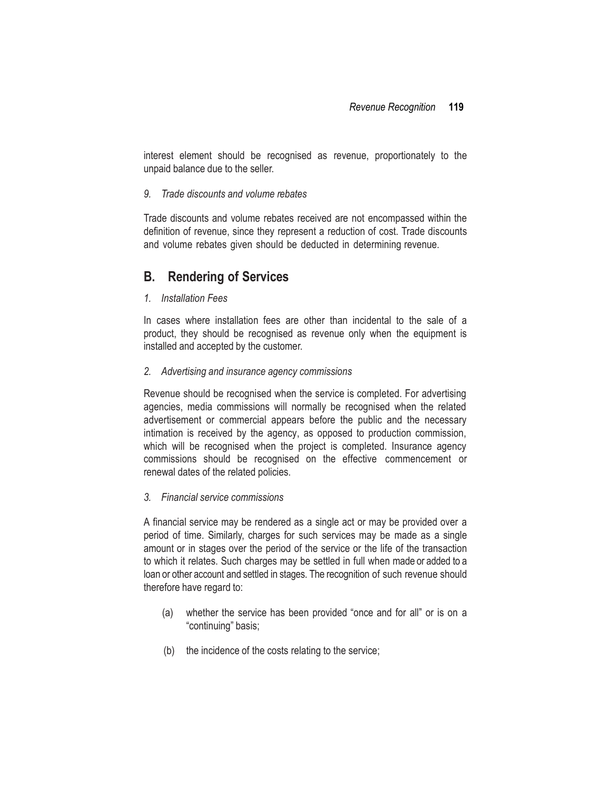interest element should be recognised as revenue, proportionately to the unpaid balance due to the seller.

#### *9. Trade discounts and volume rebates*

Trade discounts and volume rebates received are not encompassed within the definition of revenue, since they represent a reduction of cost. Trade discounts and volume rebates given should be deducted in determining revenue.

# **B. Rendering of Services**

### *1. Installation Fees*

In cases where installation fees are other than incidental to the sale of a product, they should be recognised as revenue only when the equipment is installed and accepted by the customer.

### *2. Advertising and insurance agency commissions*

Revenue should be recognised when the service is completed. For advertising agencies, media commissions will normally be recognised when the related advertisement or commercial appears before the public and the necessary intimation is received by the agency, as opposed to production commission, which will be recognised when the project is completed. Insurance agency commissions should be recognised on the effective commencement or renewal dates of the related policies.

### *3. Financial service commissions*

A financial service may be rendered as a single act or may be provided over a period of time. Similarly, charges for such services may be made as a single amount or in stages over the period of the service or the life of the transaction to which it relates. Such charges may be settled in full when made or added to a loan or other account and settled in stages. The recognition of such revenue should therefore have regard to:

- (a) whether the service has been provided "once and for all" or is on a "continuing" basis;
- (b) the incidence of the costs relating to the service;